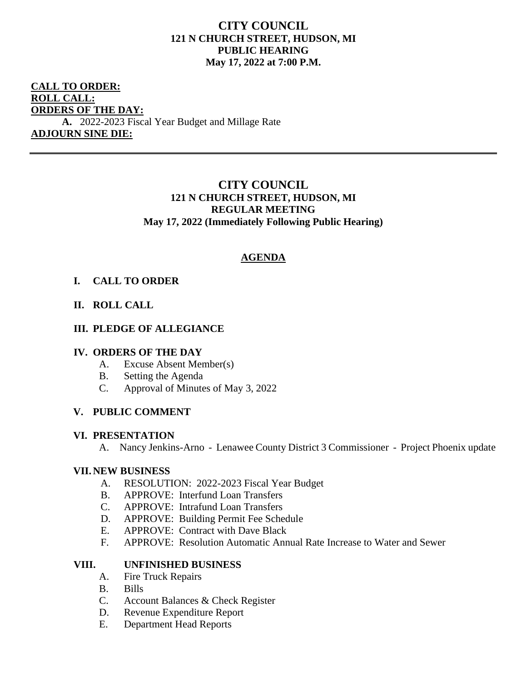# **CITY COUNCIL 121 N CHURCH STREET, HUDSON, MI PUBLIC HEARING May 17, 2022 at 7:00 P.M.**

# **CALL TO ORDER: ROLL CALL: ORDERS OF THE DAY:**

**A.** 2022-2023 Fiscal Year Budget and Millage Rate **ADJOURN SINE DIE:**

# **CITY COUNCIL 121 N CHURCH STREET, HUDSON, MI REGULAR MEETING May 17, 2022 (Immediately Following Public Hearing)**

# **AGENDA**

## **I. CALL TO ORDER**

## **II. ROLL CALL**

## **III. PLEDGE OF ALLEGIANCE**

#### **IV. ORDERS OF THE DAY**

- A. Excuse Absent Member(s)
- B. Setting the Agenda
- C. Approval of Minutes of May 3, 2022

## **V. PUBLIC COMMENT**

#### **VI. PRESENTATION**

A. Nancy Jenkins-Arno - Lenawee County District 3 Commissioner - Project Phoenix update

#### **VII. NEW BUSINESS**

- A. RESOLUTION: 2022-2023 Fiscal Year Budget
- B. APPROVE: Interfund Loan Transfers
- C. APPROVE: Intrafund Loan Transfers
- D. APPROVE: Building Permit Fee Schedule
- E. APPROVE: Contract with Dave Black
- F. APPROVE: Resolution Automatic Annual Rate Increase to Water and Sewer

## **VIII. UNFINISHED BUSINESS**

- A. Fire Truck Repairs
- B. Bills
- C. Account Balances & Check Register
- D. Revenue Expenditure Report
- E. Department Head Reports